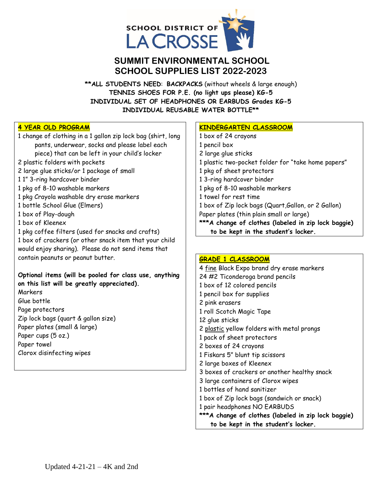

# **SUMMIT ENVIRONMENTAL SCHOOL SCHOOL SUPPLIES LIST 2022-2023**

**\*\*ALL STUDENTS NEED**: **BACKPACKS** (without wheels & large enough) **TENNIS SHOES FOR P.E. (no light ups please) KG-5 INDIVIDUAL SET OF HEADPHONES OR EARBUDS Grades KG-5 INDIVIDUAL REUSABLE WATER BOTTLE\*\***

## **4 YEAR OLD PROGRAM**

1 change of clothing in a 1 gallon zip lock bag (shirt, long pants, underwear, socks and please label each piece) that can be left in your child's locker 2 plastic folders with pockets 2 large glue sticks/or 1 package of small 1 1" 3-ring hardcover binder 1 pkg of 8-10 washable markers 1 pkg Crayola washable dry erase markers 1 bottle School Glue (Elmers) 1 box of Play-dough 1 box of Kleenex 1 pkg coffee filters (used for snacks and crafts) 1 box of crackers (or other snack item that your child would enjoy sharing). Please do not send items that contain peanuts or peanut butter. **Optional items (will be pooled for class use, anything on this list will be greatly appreciated). Markers** Glue bottle Page protectors Zip lock bags (quart & gallon size) Paper plates (small & large)

Paper cups (5 oz.) Paper towel Clorox disinfecting wipes

## **KINDERGARTEN CLASSROOM**

1 box of 24 crayons 1 pencil box 2 large glue sticks 1 plastic two-pocket folder for "take home papers" 1 pkg of sheet protectors 1 3-ring hardcover binder 1 pkg of 8-10 washable markers 1 towel for rest time 1 box of Zip lock bags (Quart,Gallon, or 2 Gallon) Paper plates (thin plain small or large) **\*\*\*A change of clothes (labeled in zip lock baggie) to be kept in the student's locker.**

## **GRADE 1 CLASSROOM**

4 fine Black Expo brand dry erase markers 24 #2 Ticonderoga brand pencils 1 box of 12 colored pencils 1 pencil box for supplies 2 pink erasers 1 roll Scotch Magic Tape 12 glue sticks 2 plastic yellow folders with metal prongs 1 pack of sheet protectors 2 boxes of 24 crayons 1 Fiskars 5" blunt tip scissors 2 large boxes of Kleenex 3 boxes of crackers or another healthy snack 3 large containers of Clorox wipes 1 bottles of hand sanitizer 1 box of Zip lock bags (sandwich or snack) 1 pair headphones NO EARBUDS **\*\*\*A change of clothes (labeled in zip lock baggie) to be kept in the student's locker.**